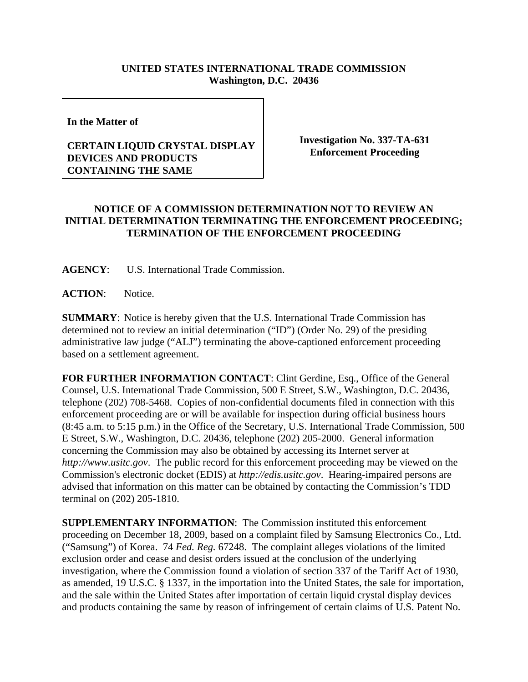## **UNITED STATES INTERNATIONAL TRADE COMMISSION Washington, D.C. 20436**

**In the Matter of** 

## **CERTAIN LIQUID CRYSTAL DISPLAY DEVICES AND PRODUCTS CONTAINING THE SAME**

**Investigation No. 337-TA-631 Enforcement Proceeding**

## **NOTICE OF A COMMISSION DETERMINATION NOT TO REVIEW AN INITIAL DETERMINATION TERMINATING THE ENFORCEMENT PROCEEDING; TERMINATION OF THE ENFORCEMENT PROCEEDING**

**AGENCY**: U.S. International Trade Commission.

**ACTION**: Notice.

**SUMMARY**: Notice is hereby given that the U.S. International Trade Commission has determined not to review an initial determination ("ID") (Order No. 29) of the presiding administrative law judge ("ALJ") terminating the above-captioned enforcement proceeding based on a settlement agreement.

**FOR FURTHER INFORMATION CONTACT**: Clint Gerdine, Esq., Office of the General Counsel, U.S. International Trade Commission, 500 E Street, S.W., Washington, D.C. 20436, telephone (202) 708-5468. Copies of non-confidential documents filed in connection with this enforcement proceeding are or will be available for inspection during official business hours (8:45 a.m. to 5:15 p.m.) in the Office of the Secretary, U.S. International Trade Commission, 500 E Street, S.W., Washington, D.C. 20436, telephone (202) 205-2000. General information concerning the Commission may also be obtained by accessing its Internet server at *http://www.usitc.gov*. The public record for this enforcement proceeding may be viewed on the Commission's electronic docket (EDIS) at *http://edis.usitc.gov*. Hearing-impaired persons are advised that information on this matter can be obtained by contacting the Commission's TDD terminal on (202) 205-1810.

**SUPPLEMENTARY INFORMATION**: The Commission instituted this enforcement proceeding on December 18, 2009, based on a complaint filed by Samsung Electronics Co., Ltd. ("Samsung") of Korea. 74 *Fed. Reg.* 67248. The complaint alleges violations of the limited exclusion order and cease and desist orders issued at the conclusion of the underlying investigation, where the Commission found a violation of section 337 of the Tariff Act of 1930, as amended, 19 U.S.C. § 1337, in the importation into the United States, the sale for importation, and the sale within the United States after importation of certain liquid crystal display devices and products containing the same by reason of infringement of certain claims of U.S. Patent No.